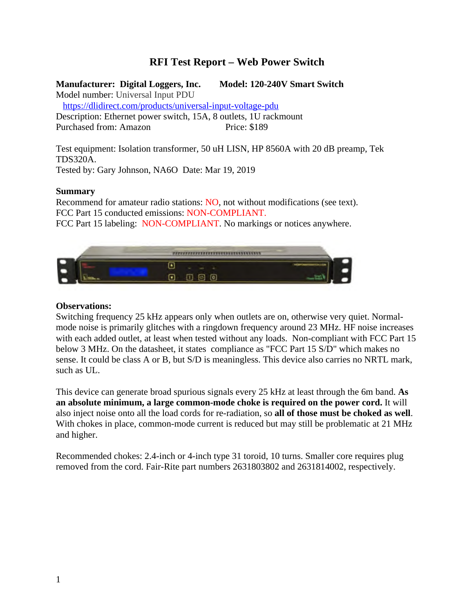# **RFI Test Report – Web Power Switch**

**Manufacturer: Digital Loggers, Inc. Model: 120-240V Smart Switch**

Model number: Universal Input PDU

https://dlidirect.com/products/universal-input-voltage-pdu

Description: Ethernet power switch, 15A, 8 outlets, 1U rackmount Purchased from: Amazon Price: \$189

Test equipment: Isolation transformer, 50 uH LISN, HP 8560A with 20 dB preamp, Tek TDS320A.

Tested by: Gary Johnson, NA6O Date: Mar 19, 2019

### **Summary**

Recommend for amateur radio stations: NO, not without modifications (see text). FCC Part 15 conducted emissions: NON-COMPLIANT. FCC Part 15 labeling: NON-COMPLIANT. No markings or notices anywhere.



## **Observations:**

Switching frequency 25 kHz appears only when outlets are on, otherwise very quiet. Normalmode noise is primarily glitches with a ringdown frequency around 23 MHz. HF noise increases with each added outlet, at least when tested without any loads. Non-compliant with FCC Part 15 below 3 MHz. On the datasheet, it states compliance as "FCC Part 15 S/D" which makes no sense. It could be class A or B, but S/D is meaningless. This device also carries no NRTL mark, such as UL.

This device can generate broad spurious signals every 25 kHz at least through the 6m band. **As an absolute minimum, a large common-mode choke is required on the power cord.** It will also inject noise onto all the load cords for re-radiation, so **all of those must be choked as well**. With chokes in place, common-mode current is reduced but may still be problematic at 21 MHz and higher.

Recommended chokes: 2.4-inch or 4-inch type 31 toroid, 10 turns. Smaller core requires plug removed from the cord. Fair-Rite part numbers 2631803802 and 2631814002, respectively.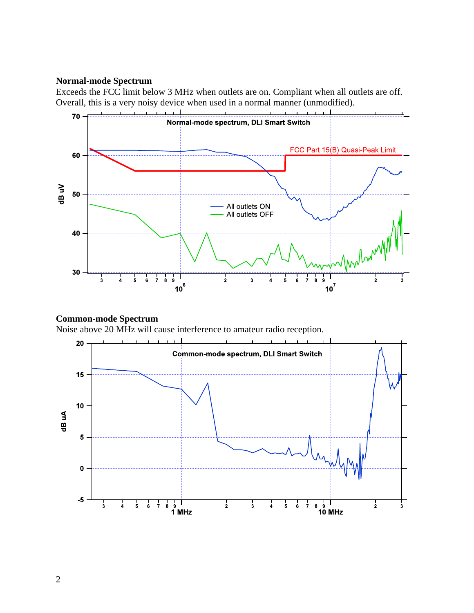#### **Normal-mode Spectrum**

Exceeds the FCC limit below 3 MHz when outlets are on. Compliant when all outlets are off. Overall, this is a very noisy device when used in a normal manner (unmodified).



## **Common-mode Spectrum**

Noise above 20 MHz will cause interference to amateur radio reception.

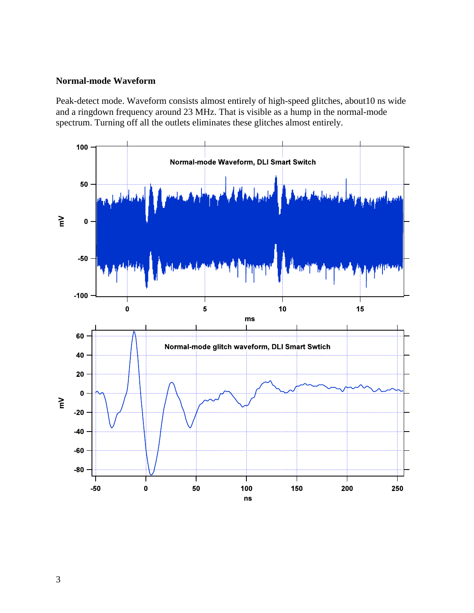## **Normal-mode Waveform**

Peak-detect mode. Waveform consists almost entirely of high-speed glitches, about10 ns wide and a ringdown frequency around 23 MHz. That is visible as a hump in the normal-mode spectrum. Turning off all the outlets eliminates these glitches almost entirely.